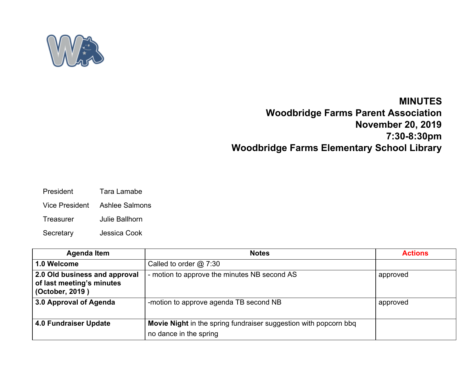

## **MINUTES**

## **Woodbridge Farms Parent Association November 20, 2019 7:30-8:30pm Woodbridge Farms Elementary School Library**

- President Tara Lamabe
- Vice President Ashlee Salmons
- Treasurer Julie Ballhorn
- Secretary Jessica Cook

| <b>Agenda Item</b>                                                            | <b>Notes</b>                                                     | <b>Actions</b> |
|-------------------------------------------------------------------------------|------------------------------------------------------------------|----------------|
| 1.0 Welcome                                                                   | Called to order $@$ 7:30                                         |                |
| 2.0 Old business and approval<br>of last meeting's minutes<br>(October, 2019) | - motion to approve the minutes NB second AS                     | approved       |
| 3.0 Approval of Agenda                                                        | -motion to approve agenda TB second NB                           | approved       |
| <b>4.0 Fundraiser Update</b>                                                  | Movie Night in the spring fundraiser suggestion with popcorn bbq |                |
|                                                                               | no dance in the spring                                           |                |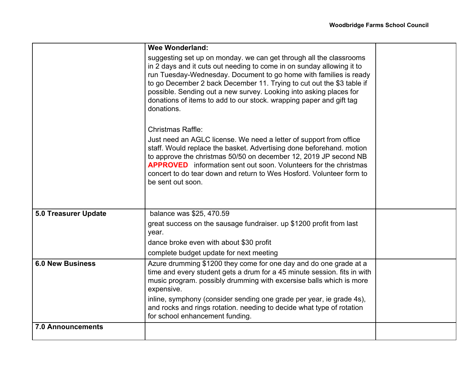|                             | <b>Wee Wonderland:</b>                                                                                                                                                                                                                                                                                                                                                                                                                               |  |
|-----------------------------|------------------------------------------------------------------------------------------------------------------------------------------------------------------------------------------------------------------------------------------------------------------------------------------------------------------------------------------------------------------------------------------------------------------------------------------------------|--|
|                             | suggesting set up on monday. we can get through all the classrooms<br>in 2 days and it cuts out needing to come in on sunday allowing it to<br>run Tuesday-Wednesday. Document to go home with families is ready<br>to go December 2 back December 11. Trying to cut out the \$3 table if<br>possible. Sending out a new survey. Looking into asking places for<br>donations of items to add to our stock. wrapping paper and gift tag<br>donations. |  |
|                             | <b>Christmas Raffle:</b>                                                                                                                                                                                                                                                                                                                                                                                                                             |  |
|                             | Just need an AGLC license. We need a letter of support from office<br>staff. Would replace the basket. Advertising done beforehand. motion<br>to approve the christmas 50/50 on december 12, 2019 JP second NB<br><b>APPROVED</b> information sent out soon. Volunteers for the christmas<br>concert to do tear down and return to Wes Hosford. Volunteer form to<br>be sent out soon.                                                               |  |
| <b>5.0 Treasurer Update</b> | balance was \$25, 470.59                                                                                                                                                                                                                                                                                                                                                                                                                             |  |
|                             | great success on the sausage fundraiser. up \$1200 profit from last<br>year.                                                                                                                                                                                                                                                                                                                                                                         |  |
|                             | dance broke even with about \$30 profit                                                                                                                                                                                                                                                                                                                                                                                                              |  |
|                             | complete budget update for next meeting                                                                                                                                                                                                                                                                                                                                                                                                              |  |
| <b>6.0 New Business</b>     | Azure drumming \$1200 they come for one day and do one grade at a<br>time and every student gets a drum for a 45 minute session. fits in with<br>music program. possibly drumming with excersise balls which is more<br>expensive.                                                                                                                                                                                                                   |  |
|                             | inline, symphony (consider sending one grade per year, ie grade 4s),<br>and rocks and rings rotation. needing to decide what type of rotation<br>for school enhancement funding.                                                                                                                                                                                                                                                                     |  |
| <b>7.0 Announcements</b>    |                                                                                                                                                                                                                                                                                                                                                                                                                                                      |  |